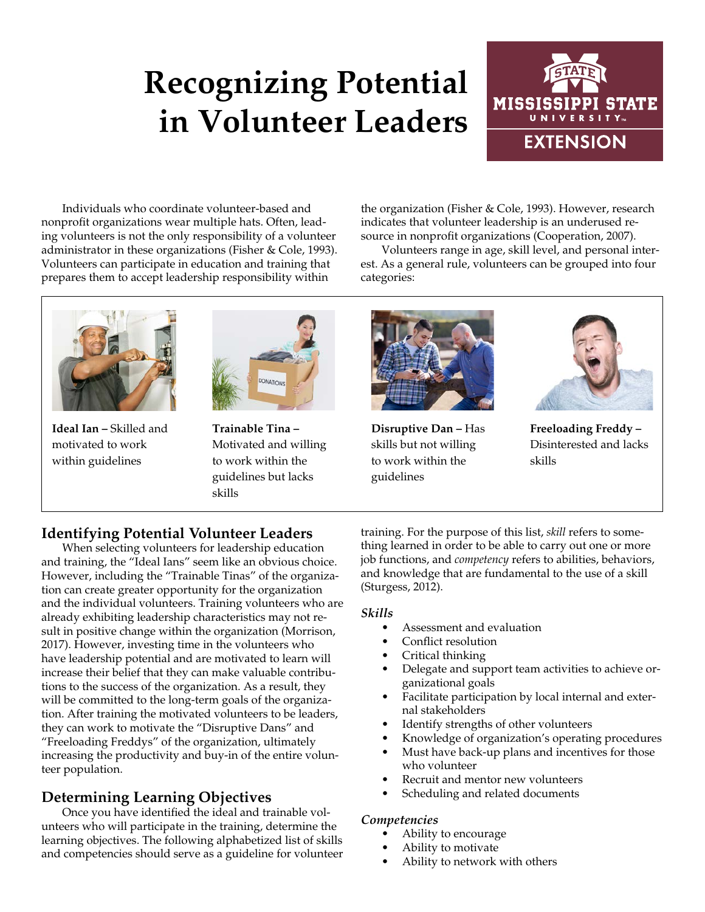# **Recognizing Potential in Volunteer Leaders**



Individuals who coordinate volunteer-based and nonprofit organizations wear multiple hats. Often, leading volunteers is not the only responsibility of a volunteer administrator in these organizations (Fisher & Cole, 1993). Volunteers can participate in education and training that prepares them to accept leadership responsibility within

the organization (Fisher & Cole, 1993). However, research indicates that volunteer leadership is an underused resource in nonprofit organizations (Cooperation, 2007).

Volunteers range in age, skill level, and personal interest. As a general rule, volunteers can be grouped into four categories:



**Ideal Ian –** Skilled and motivated to work within guidelines



**Trainable Tina –**  Motivated and willing to work within the guidelines but lacks skills



**Disruptive Dan –** Has skills but not willing to work within the guidelines



**Freeloading Freddy –**  Disinterested and lacks skills

## **Identifying Potential Volunteer Leaders**

When selecting volunteers for leadership education and training, the "Ideal Ians" seem like an obvious choice. However, including the "Trainable Tinas" of the organization can create greater opportunity for the organization and the individual volunteers. Training volunteers who are already exhibiting leadership characteristics may not result in positive change within the organization (Morrison, 2017). However, investing time in the volunteers who have leadership potential and are motivated to learn will increase their belief that they can make valuable contributions to the success of the organization. As a result, they will be committed to the long-term goals of the organization. After training the motivated volunteers to be leaders, they can work to motivate the "Disruptive Dans" and "Freeloading Freddys" of the organization, ultimately increasing the productivity and buy-in of the entire volunteer population.

## **Determining Learning Objectives**

Once you have identified the ideal and trainable volunteers who will participate in the training, determine the learning objectives. The following alphabetized list of skills and competencies should serve as a guideline for volunteer training. For the purpose of this list, *skill* refers to something learned in order to be able to carry out one or more job functions, and *competency* refers to abilities, behaviors, and knowledge that are fundamental to the use of a skill (Sturgess, 2012).

### *Skills*

- Assessment and evaluation
- Conflict resolution
- Critical thinking
- Delegate and support team activities to achieve organizational goals
- Facilitate participation by local internal and external stakeholders
- Identify strengths of other volunteers
- Knowledge of organization's operating procedures
- Must have back-up plans and incentives for those who volunteer
- Recruit and mentor new volunteers
- Scheduling and related documents

#### *Competencies*

- Ability to encourage
- Ability to motivate
- Ability to network with others